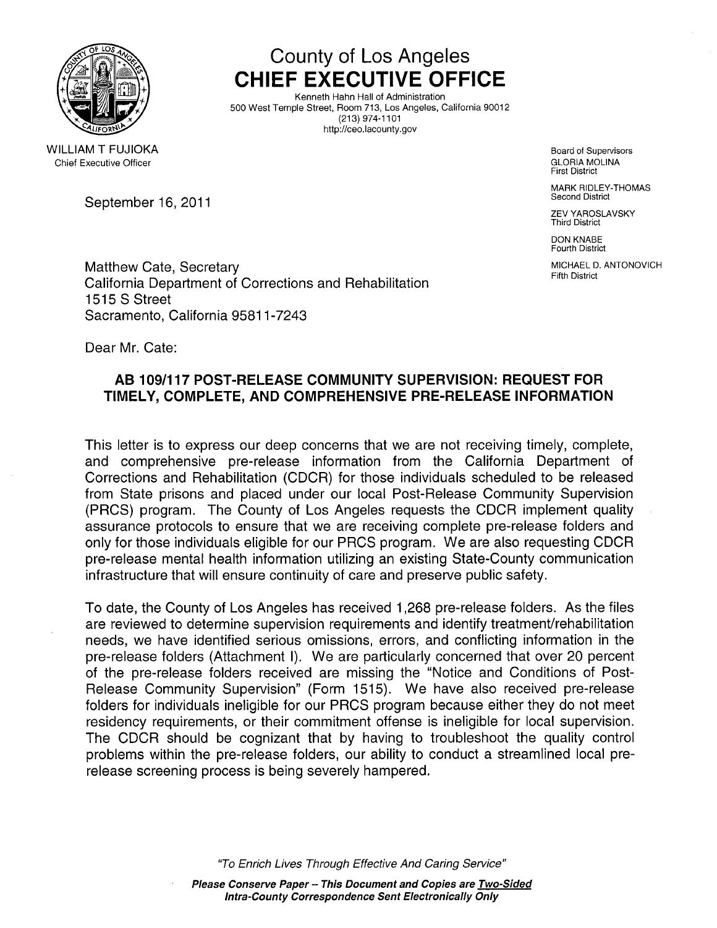

# County of Los Angeles CHIEF EXECUTIVE OFFICE

Kenneth Hahn Hall of Administration 500 West Temple Street, Room 713, Los Angeles, California 90012 (213) 974-1101 http://ceo.lacounty.gov

> Board of Supervisors GLORIA MOLINA First District

MARK RIDLEY-THOMAS Second District

ZEV YAROSLAVSKY Third District

DON KNABE Fourth District

MICHAEL D. ANTONOVICH Fifth District

WILLIAM T FUJIOKA Chief Executive Officer

September 16, 2011

Matthew Cate, Secretary California Department of Corrections and Rehabilitation 1515 S Street Sacramento, California 95811-7243

Dear Mr. Cate:

## AS 109/117 POST-RELEASE COMMUNITY SUPERVISION: REQUEST FOR TIMELY, COMPLETE, AND COMPREHENSIVE PRE-RELEASE INFORMATION

This letter is to express our deep concerns that we are not receiving timely, complete, and comprehensive pre-release information from the California Department of Corrections and Rehabilitation (CDCR) for those individuals scheduled to be released from State prisons and placed under our local Post-Release Community Supervision (PRCS) program. The County of Los Angeles requests the CDCR implement quality assurance protocols to ensure that we are receiving complete pre-release folders and only for those individuals eligible for our PRCS program. We are also requesting CDCR pre-release mental health information utilizing an existing State-County communication infrastructure that will ensure continuity of care and preserve public safety.

To date, the County of Los Angeles has received 1,268 pre-release folders. As the files are reviewed to determine supervision requirements and identify treatment/rehabilitation needs, we have identified serious omissions, errors, and conflicting information in the pre-release folders (Attachment i). We are particularly concerned that over 20 percent of the pre-release folders received are missing the "Notice and Conditions of Post-Release Community Supervision" (Form 1515). We have also received pre-release folders for individuals ineligible for our PRCS program because either they do not meet residency requirements, or their commitment offense is ineligible for local supervision. The CDCR should be cognizant that by having to troubleshoot the quality control problems within the pre-release folders, our ability to conduct a streamlined local prerelease screening process is being severely hampered.

"To Enrich Lives Through Effective And Caring Service"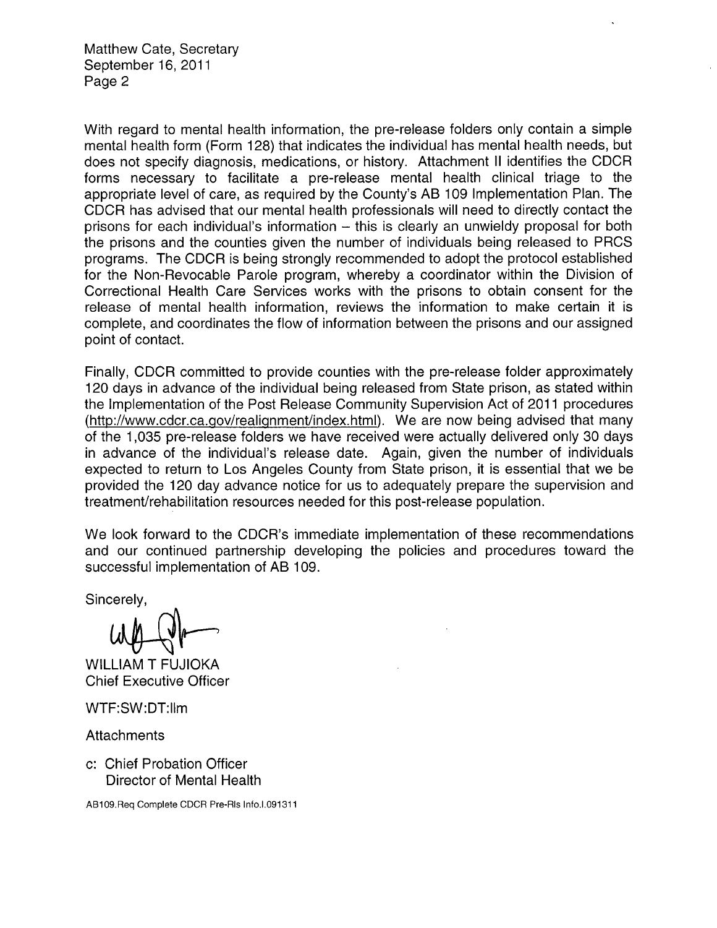Matthew Cate, Secretary September 16, 2011 Page 2

With regard to mental health information, the pre-release folders only contain a simple mental health form (Form 128) that indicates the individual has mental health needs, but does not specify diagnosis, medications, or history. Attachment II identifies the CDCR forms necessary to facilitate a pre-release mental health clinical triage to the appropriate level of care, as required by the County's AS 109 Implementation Plan. The CDCR has advised that our mental health professionals will need to directly contact the prisons for each individual's information  $-$  this is clearly an unwieldy proposal for both the prisons and the counties given the number of individuals being released to PRCS programs. The CDCR is being strongly recommended to adopt the protocol established for the Non-Revocable Parole program, whereby a coordinator within the Division of Correctional Health Care Services works with the prisons to obtain consent for the release of mental health information, reviews the information to make certain it is complete, and coordinates the flow of information between the prisons and our assigned point of contact.

Finally, CDCR committed to provide counties with the pre-release folder approximately 120 days in advance of the individual being released from State prison, as stated within the Implementation of the Post Release Community Supervision Act of 2011 procedures (http://www.cdcr.ca.gov/realignment/index.html). We are now being advised that many of the 1,035 pre-release folders we have received were actually delivered only 30 days in advance of the individual's release date. Again, given the number of individuals expected to return to Los Angeles County from State prison, it is essential that we be provided the 120 day advance notice for us to adequately prepare the supervision and treatment/rehabilitation resources needed for this post-release population.

We look forward to the CDCR's immediate implementation of these recommendations and our continued partnership developing the policies and procedures toward the successful implementation of AB 109.<br>Sincerely,

WILLIAM T FUJIOKA **Chief Executive Officer** 

WTF:SW:DT:llm

**Attachments** 

c: Chief Probation Officer Director of Mental Health

AB1 09.Req Complete CDCR Pre-Rls Info.1.091311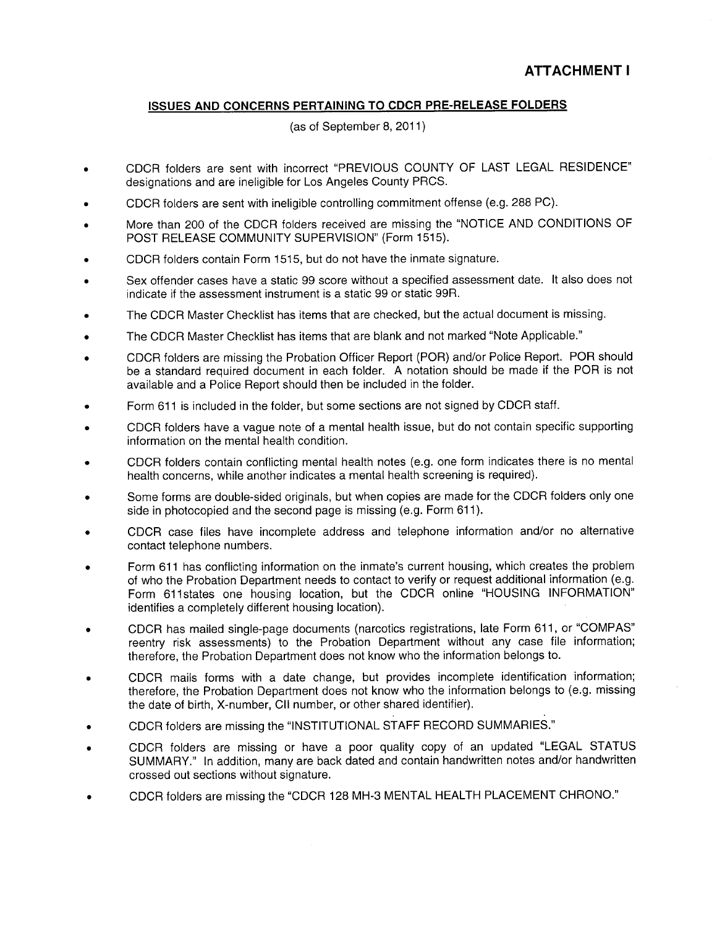#### ISSUES AND CONCERNS PERTAINING TO CDCR PRE-RELEASE FOLDERS

(as of September 8, 2011)

- . CDCR folders are sent with incorrect "PREVIOUS COUNTY OF LAST LEGAL RESIDENCE" designations and are ineligible for Los Angeles County PRCS.
- . CDCR folders are sent with ineligible controlling commitment offense (e.g. 288 PC).
- . More than 200 of the CDCR folders received are missing the "NOTICE AND CONDITIONS OF POST RELEASE COMMUNITY SUPERVISION" (Form 1515).
- . CDCR folders contain Form 1515, but do not have the inmate signature.
- . Sex offender cases have a static 99 score without a specified assessment date. It also does not indicate if the assessment instrument is a static 99 or static 99R.
- . The CDCR Master Checklist has items that are checked, but the actual document is missing.
- . The CDCR Master Checklist has items that are blank and not marked "Note Applicable."
- . CDCR folders are missing the Probation Officer Report (POR) and/or Police Report. POR should be a standard required document in each folder. A notation should be made if the POR is not available and a Police Report should then be included in the folder.
- . Form 611 is included in the folder, but some sections are not signed by CDCR staff.
- . CDCR folders have a vague note of a mental health issue, but do not contain specific supporting information on the mental health condition.
- . CDCR folders contain conflcting mental health notes (e.g. one form indicates there is no mental health concerns, while another indicates a mental health screening is required).
- . Some forms are double-sided originals, but when copies are made for the CDCR folders only one side in photocopied and the second page is missing (e.g. Form 611).
- . CDCR case files have incomplete address and telephone information and/or no alternative contact telephone numbers.
- . Form 611 has conflicting information on the inmate's current housing, which creates the problem of who the Probation Department needs to contact to verify or request additional information (e.g. Form 611 states one housing location, but the CDCR online "HOUSING INFORMATION" identifies a completely different housing location).
- CDCR has mailed single-page documents (narcotics registrations, late Form 611, or "COMPAS" reentry risk assessments) to the Probation Department without any case file information; therefore, the Probation Department does not know who the information belongs to.
- . CDCR mails forms with a date change, but provides incomplete identification information; therefore, the Probation Department does not know who the information belongs to (e.g. missing the date of birth, X-number, Cli number, or other shared identifier).
- . CDCR folders are missing the "INSTITUTIONAL STAFF RECORD SUMMARIES."
- . CDCR folders are missing or have a poor quality copy of an updated "LEGAL STATUS SUMMARY." In addition, many are back dated and contain handwritten notes and/or handwritten crossed out sections without signature.
- CDCR folders are missing the "CDCR 128 MH-3 MENTAL HEALTH PLACEMENT CHRONO."